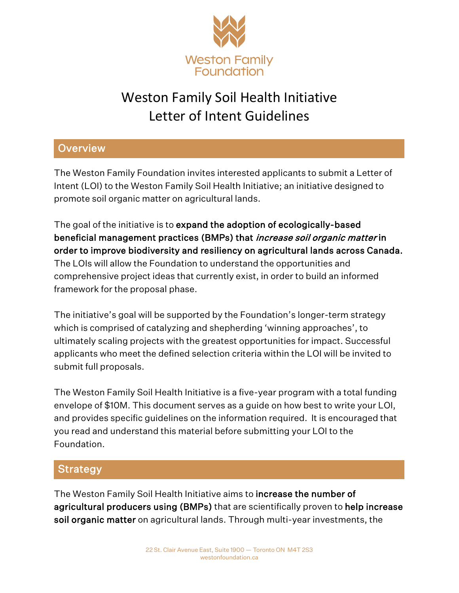

# Weston Family Soil Health Initiative Letter of Intent Guidelines

## **Overview**

The Weston Family Foundation invites interested applicants to submit a Letter of Intent (LOI) to the Weston Family Soil Health Initiative; an initiative designed to promote soil organic matter on agricultural lands.

The goal of the initiative is to expand the adoption of ecologically-based beneficial management practices (BMPs) that *increase soil organic matter* in order to improve biodiversity and resiliency on agricultural lands across Canada. The LOIs will allow the Foundation to understand the opportunities and comprehensive project ideas that currently exist, in order to build an informed framework for the proposal phase.

The initiative's goal will be supported by the Foundation's longer-term strategy which is comprised of catalyzing and shepherding 'winning approaches', to ultimately scaling projects with the greatest opportunities for impact. Successful applicants who meet the defined selection criteria within the LOI will be invited to submit full proposals.

The Weston Family Soil Health Initiative is a five-year program with a total funding envelope of \$10M. This document serves as a guide on how best to write your LOI, and provides specific guidelines on the information required. It is encouraged that you read and understand this material before submitting your LOI to the Foundation.

#### Strategy

The Weston Family Soil Health Initiative aims to increase the number of agricultural producers using (BMPs) that are scientifically proven to help increase soil organic matter on agricultural lands. Through multi-year investments, the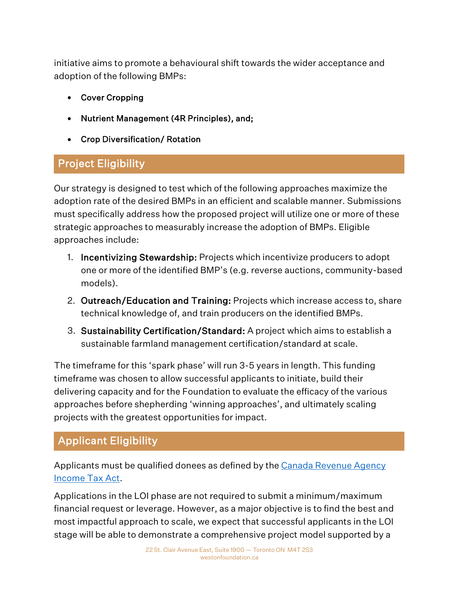initiative aims to promote a behavioural shift towards the wider acceptance and adoption of the following BMPs:

- Cover Cropping
- Nutrient Management (4R Principles), and;
- Crop Diversification/ Rotation

## Project Eligibility

Our strategy is designed to test which of the following approaches maximize the adoption rate of the desired BMPs in an efficient and scalable manner. Submissions must specifically address how the proposed project will utilize one or more of these strategic approaches to measurably increase the adoption of BMPs. Eligible approaches include:

- 1. Incentivizing Stewardship: Projects which incentivize producers to adopt one or more of the identified BMP's (e.g. reverse auctions, community-based models).
- 2. Outreach/Education and Training: Projects which increase access to, share technical knowledge of, and train producers on the identified BMPs.
- 3. Sustainability Certification/Standard: A project which aims to establish a sustainable farmland management certification/standard at scale.

The timeframe for this 'spark phase' will run 3-5 years in length. This funding timeframe was chosen to allow successful applicants to initiate, build their delivering capacity and for the Foundation to evaluate the efficacy of the various approaches before shepherding 'winning approaches', and ultimately scaling projects with the greatest opportunities for impact.

# Applicant Eligibility

Applicants must be qualified donees as defined by the Canada Revenue Agency [Income Tax Act.](https://www.canada.ca/en/revenue-agency/services/charities-giving/list-charities/list-charities-other-qualified-donees.html)

Applications in the LOI phase are not required to submit a minimum/maximum financial request or leverage. However, as a major objective is to find the best and most impactful approach to scale, we expect that successful applicants in the LOI stage will be able to demonstrate a comprehensive project model supported by a